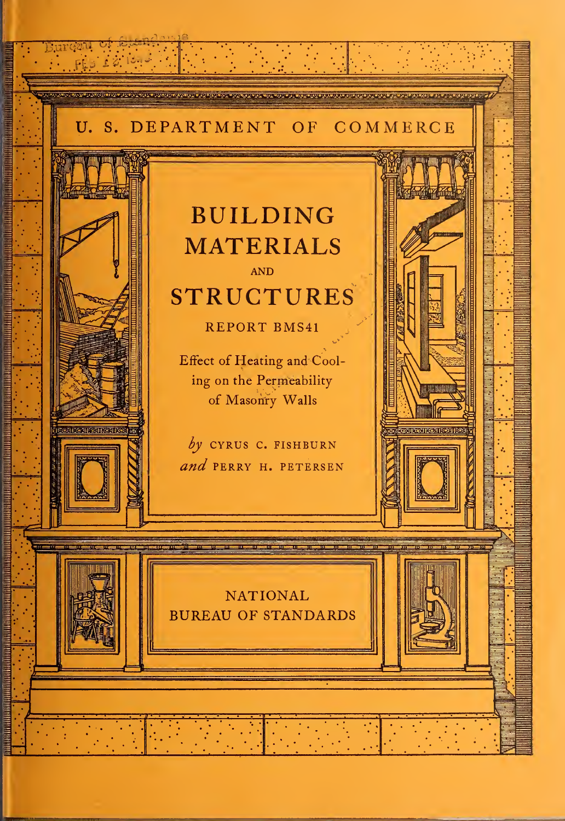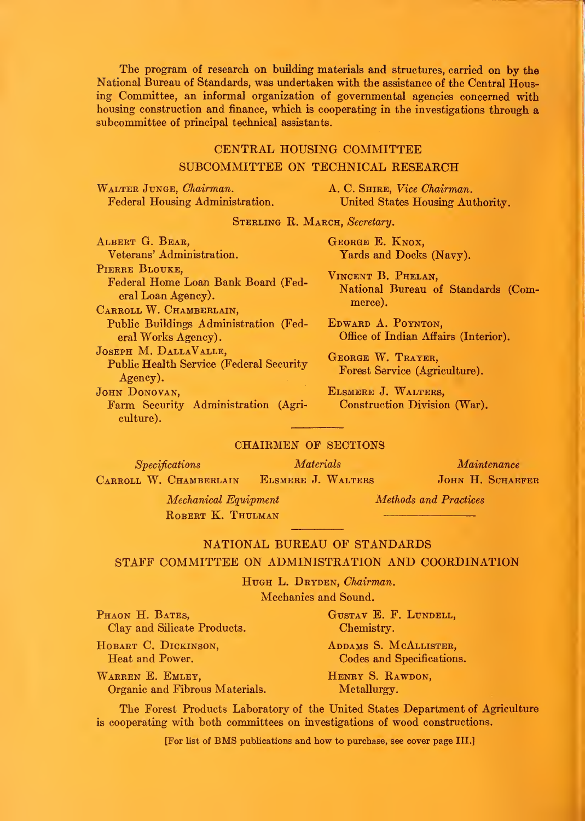The program of research on building materials and structures, carried on by the National Bureau of Standards, was undertaken with the assistance of the Central Housing Committee, an informal organization of governmental agencies concerned with housing construction and finance, which is cooperating in the investigations through a subcommittee of principal technical assistants.

#### CENTKAL HOUSING COMMITTEE

#### SUBCOMMITTEE ON TECHNICAL RESEARCH

Walter Junge, Chairman. Federal Housing Administration. A. C. SHIRE, Vice Chairman. United States Housing Authority.

STERLING R. MARCH, Secretary.

Albert G. Bear, Veterans' Administration. PIERRE BLOUKE. Federal Home Loan Bank Board (Federal Loan Agency) CARROLL W. CHAMBERLAIN. Public Buildings Administration (Federal Works Agency) Joseph M. DallaValle, Public Health Service (Federal Security Agency). JOHN DONOVAN, Farm Security Administration (Agriculture).

George E. Knox, Yards and Docks (Navy).

Vincent B. Phelan, National Bureau of Standards (Commerce).

Edward A. Poynton, Office of Indian Affairs (Interior).

George W. Trayer, Forest Service (Agriculture).

Elsmere J. Walters, Construction Division (War).

#### CHAIRMEN OP SECTIONS

Specifications Materials Carroll W. Chamberlain Elsmere J. Walters Maintenance JOHN H. SCHAEFER Mechanical Equipment

ROBERT K. THULMAN

Methods and Practices

#### NATIONAL BUREAU OF STANDARDS

#### STAFF COMMITTEE ON ADMINISTRATION AND COORDINATION

HUGH L. DRYDEN, Chairman. Mechanics and Sound.

PHAON H. BATES, Clay and Silicate Products.

Organic and Fibrous Materials.

HOBART C. DICKINSON, Heat and Power.

Warren E. Emley,

GusTAV E. F. Lundell, Chemistry.

Addams S. McAllister, Codes and Specifications.

HENRY S. RAWDON, Metallurgy.

The Forest Products Laboratory of the United States Department of Agriculture is cooperating with both committees on investigations of wood constructions.

[For list of BMS publications and how to purchase, see cover page III.]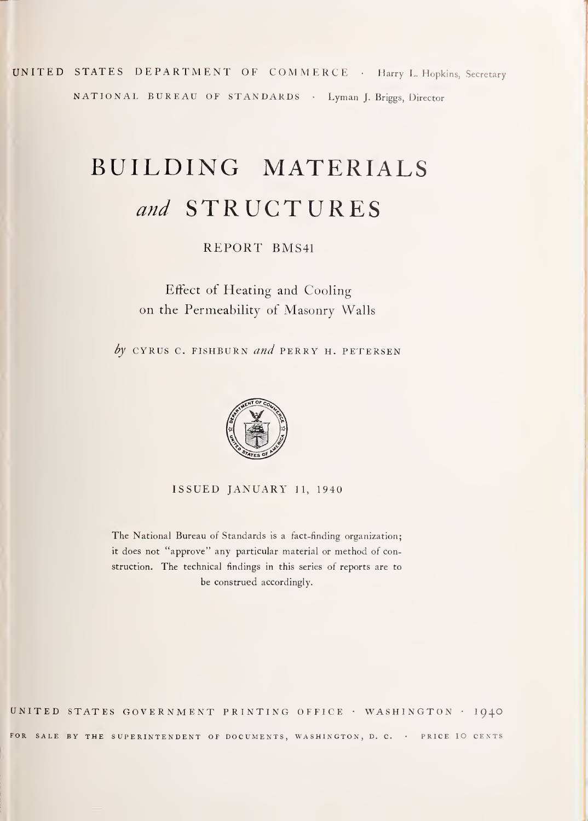UNITED STATES DEPARTMENT OF COMMERCE • Harry L. Hopkins, Secretary NATIONAL BUREAU OF STANDARDS • Lyman J. Briggs, Director

# BUILDING MATERIALS and STRUCTURES

REPORT BMS41

# Effect of Heating and Cooling on the Permeability of Masonry Walls

by CYRUS C. FISHBURN and PERRY H. PETERSEN



ISSUED JANUARY 11, 1940

The National Bureau of Standards is <sup>a</sup> fact-finding organization; it does not "approve" any particular material or method of construction. The technical findings in this series of reports are to be construed accordingly.

united states government printing office • WASHINGTON • I94O FOR SALE BY THE SUPERINTENDENT OF DOCUMENTS, WASHINGTON, D. C. . PRICE IO CENTS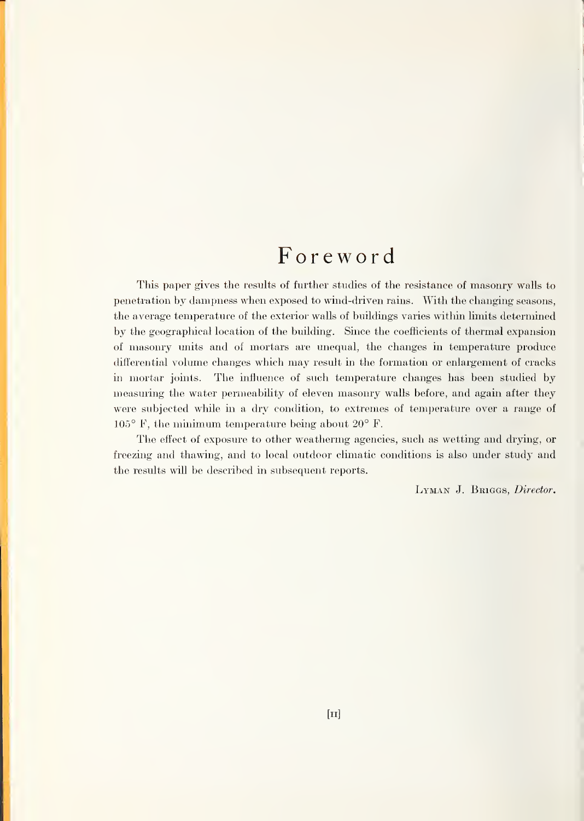# Foreword

This paper gives the results of further studies of the resistance of masonry walls to penetration by dampness when exposed to wind-driven rains. With the changing seasons, the average temperature of the exterior walls of buildings varies within limits determined by the geographical location of the building. Since the coefficients of thermal expansion of masonry units and of mortars are imequal, the changes in temperature produce differential volume changes which may result in the formation or enlargement of cracks in mortar joints. The influence of such temperature changes has been studied by measuring the water permeability of eleven masonry walls before, and again after they were subjected while in a dry condition, to extremes of temperature over a range of  $105^{\circ}$  F, the minimum temperature being about  $20^{\circ}$  F.

The effect of exposure to other weathering agencies, such as wetting and drying, or freezing and thawing, and to local outdoor climatic conditions is also under study and the results will be described in subsequent reports.

LYMAN J. BRIGGS, Director.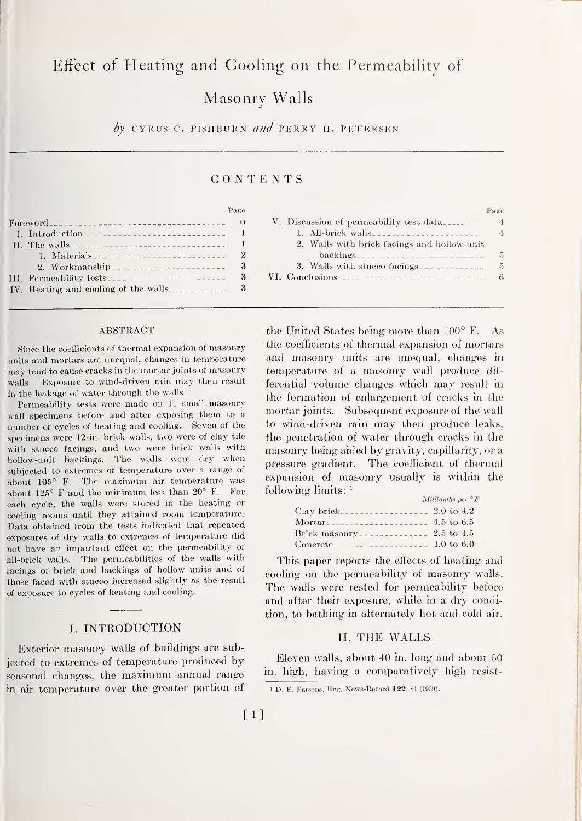### Effect of Heating and Cooling on the Permeability of

# Masonry Walls

by CYRUS C. FISHBURN and PERRY H. PETERSEN

#### CONTENTS

#### Page

|  | $\text{For} \text{evord}_{\text{max}}$ |  |  |  |  |  |   |
|--|----------------------------------------|--|--|--|--|--|---|
|  |                                        |  |  |  |  |  |   |
|  |                                        |  |  |  |  |  |   |
|  | 1. Materials                           |  |  |  |  |  | 2 |
|  | 2. Workmanship                         |  |  |  |  |  | 3 |
|  |                                        |  |  |  |  |  | 3 |
|  | IV. Heating and cooling of the walls   |  |  |  |  |  | 3 |
|  |                                        |  |  |  |  |  |   |

#### ABSTRACT

Since the coefficients of thermal expansion of masonry units and mortars are unequal, changes in temperature may tend to cause cracks in the mortar joints of masonry walls. Exposure to wind-driven rain may then result in the leakage of water through the walls.

Permeability tests were made on <sup>11</sup> small masonry wall specimens before and after exposing them to a number of cycles of heating and cooling. Seven of the specimens were l2-in. brick walls, two were of clay tile with stucco facings, and two were brick walls with hollow-unit backings. The walls were dry when subjected to extremes of temperature over a range of about 105° F. The maximum air temperature was about 125° F and the minimum less than 20° F. For each cycle, the walls were stored in the heating or cooling rooms until they attained room temperature. Data obtained from the tests indicated that repeated exposures of dry walls to extremes of temperature did not have an important effect on the permeability of all-brick walls. The permeabilities of the walls with facings of brick and backings of hollow units and of those faced with stucco increased slightly as the result of exposure to cycles of heating and cooling.

#### I. INTRODUCTION

Exterior masonry walls of buildings are subjected to extremes of temperature produced byseasonal changes, the maximum annual range in air temperature over the greater portion of

| V. Discussion of permeability test data________ |                |
|-------------------------------------------------|----------------|
|                                                 | $\overline{4}$ |
| 2. Walls with brick facings and hollow-unit     |                |
|                                                 | 5              |
| 3. Walls with stuce facings                     | 5              |
|                                                 | 6              |

the United States being more than 100° F. As the coefficients of thermal expansion of mortars and masonry units are unequal, changes in temperature of a masonry wall produce dif ferential volume changes which may result in the formation of enlargement of cracks in the mortar joints. Subsequent exposure of the wall to wind-driven rain may then produce leaks, the penetration of water through cracks in the masonry being aided by gravity, capillarity, or a pressure gradient. The coefficient of thermal expansion of masonry usually is within the following limits: '

|        | Millionths per $\circ$ F |
|--------|--------------------------|
|        |                          |
| Mortar |                          |
|        |                          |
|        |                          |

This paper reports the effects of heating and cooling on the permeability of masonry walls. The walls were tested for permeability before and after their exposure, while in a dry condition, to bathing in alternately hot and cold air.

#### II. THE WALLS

Eleven walls, about 40 in. long and about 50 in. high, having a comparatively high resist-

<sup>1</sup> D. E. Parsons, Eng. News-Record 133, SI (1939).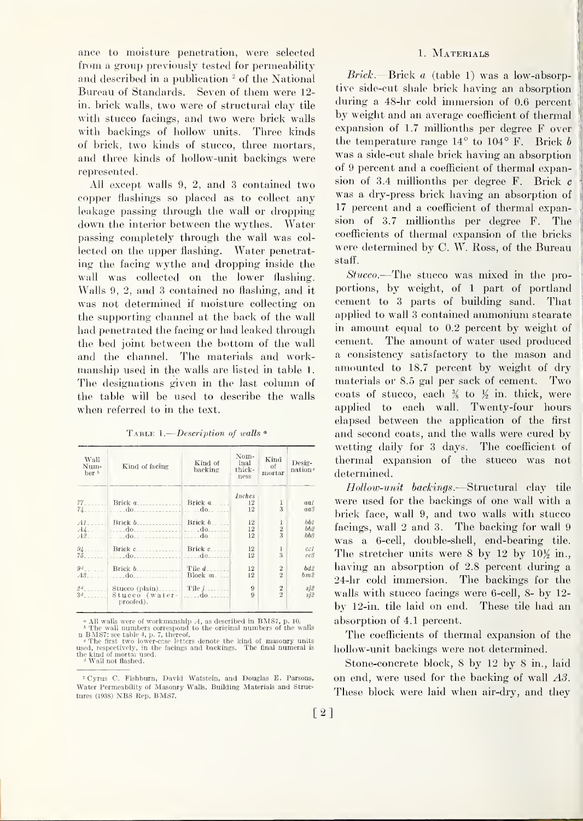ance to moisture penetration, were selected from a group previously tested for permeability and described in a publication  $2$  of the National Bureau of Standards. Seven of them were 12 in. brick walls, two were of structural clay tile with stucco facings, and two were brick walls with backings of hollow units. Three kinds of brick, two kinds of stucco, three mortars, and three kinds of hollow-unit backings were represented.

All except walls 9, 2, and 3 contained two copper flashings so placed as to collect any leakage passing through the wall or dropping down the interior between the wythes. Water passing completely through the wall was col lected on the upper flashing. Water penetrating the facing wythe and dropping inside the wall was collected on the lower flashing. Walls 9, 2, and 3 contained no flashing, and it was not determined if moisture collecting on the supporting channel at the back of the wall had penetrated the facing or had leaked through the bed joint between the bottom of the wall and the channel. The materials and workmanship used in the walls are listed in table 1. The designations given in the last column of the table wfll be used to describe the walls when referred to in the text.

TABLE 1.— $Description$  of walls  $^{\circ}$ 

| Wall<br>Num-<br>$ber^b$ | Kind of facing                                                                                                                                                                                                                                                                                                                                                                                                                                                                                         | Kind of<br>backing | Nom-<br>inal<br>thick-<br>ness | Kind<br>οf<br>mortar | Desig-<br>nation |
|-------------------------|--------------------------------------------------------------------------------------------------------------------------------------------------------------------------------------------------------------------------------------------------------------------------------------------------------------------------------------------------------------------------------------------------------------------------------------------------------------------------------------------------------|--------------------|--------------------------------|----------------------|------------------|
|                         | $77$ Brick $a$ Brick Brick $a$                                                                                                                                                                                                                                                                                                                                                                                                                                                                         |                    | Inches<br>12                   | $\mathbf{1}$         | aal              |
|                         | $74$ and $10$ and $10$ and $10$ and $10$ and $10$                                                                                                                                                                                                                                                                                                                                                                                                                                                      |                    | 12                             | 3                    | aa3              |
|                         | $AI$ Brick $b$ Brick $b$ Brick $b$                                                                                                                                                                                                                                                                                                                                                                                                                                                                     |                    | 12                             | 1                    | bb1              |
|                         |                                                                                                                                                                                                                                                                                                                                                                                                                                                                                                        |                    | <sup>12</sup><br>12            | $\frac{2}{3}$        | bb2<br>bb3       |
|                         | $\begin{array}{c c c c c c} & \text{Brick } c & \text{Brick } c & \text{Brick } c & \text{Brick } c & \text{Brick } c & \text{Brick } c & \text{Brick } c & \text{Brick } c & \text{Brick } c & \text{Brick } c & \text{Brick } c & \text{Brick } c & \text{Brick } c & \text{Brick } c & \text{Brick } c & \text{Brick } c & \text{Brick } c & \text{Brick } c & \text{Brick } c & \text{Brick } c & \text{Brick } c & \text{Brick } c & \text{Brick } c & \text{Brick } c & \text{Brick } c & \text$ |                    | 12<br>12                       | 1<br>3               | cc1<br>cc3       |
|                         | $9^d$ Brick $b$ Brick $\overline{b}$ Tile $d$                                                                                                                                                                                                                                                                                                                                                                                                                                                          |                    | 12                             | $\overline{2}$       | bd2              |
| A3                      | $\log m$                                                                                                                                                                                                                                                                                                                                                                                                                                                                                               |                    | 12                             | $\overline{2}$       | bm2              |
| $3^d$                   | $2^d$ Stucco (plain) Tile j<br>Stucco (water-<br>proofed).                                                                                                                                                                                                                                                                                                                                                                                                                                             | $\dots$ do $\dots$ | 9<br>9                         | $\frac{2}{2}$        | si2<br>si        |

 $^a$  All walls were of workmanship  $A$ , as described in BMS7, p. 10.<br> $^b$  The wall numbers correspond to the original numbers of the walls

n BMS7; see table 4, p. 7, thereof.<br>
' The first two lower-csso letters denote the kind of masonry units<br>
used, respectively, in the facings and backings. The final numeral is<br>
the kind of mortal used.<br>
' Wall not flashed.

#### 1. Materials

Brick.—Brick <sup>a</sup> (table 1) was <sup>a</sup> low-absorptive side-cut shale brick having an absorption during a 48-hr cold immersion of 0.6 percent by weight and an average coefficient of thermal expansion of 1.7 millionths per degree F over the temperature range  $14^{\circ}$  to  $104^{\circ}$  F. Brick b was a side-cut shale brick having an absorption of 9 percent and a coefficient of thermal expansion of 3.4 millionths per degree F. Brick c was a dry-press brick having an absorption of 17 percent and a coefficient of thermal expansion of 3.7 millionths per degree F. The coefficients of thermal expansion of the bricks were determined by C. W. Ross, of the Bureau staff.

Stucco.—The stucco was mixed in the proportions, by weight, of <sup>1</sup> part of portland cement to <sup>3</sup> parts of building sand. That applied to wall <sup>3</sup> contained ammonium stearate in amount equal to 0.2 percent by weight of cement. The amount of water used produced a consistency satisfactory to the mason and amounted to 18.7 percent by weight of dry materials or 8.5 gal per sack of cement. Two coats of stucco, each  $\frac{3}{8}$  to  $\frac{1}{2}$  in. thick, were applied to each wall. Twenty-four hours elapsed between the application of the first and second coats, and the walls were cured by wetting daily for 3 days. The coefficient of thermal expansion of the stucco was not determined.

Hollow-unit backings.—Structural clay tile were used for the backings of one wall with a brick face, wall 9, and two walls with stucco facings, wall 2 and 3. The backing for wall 9 was a 6-cell, double-shell, end-bearing tile. The stretcher units were 8 by 12 by  $10\frac{1}{2}$  in., having an absorption of 2.8 percent during a 24-hr cold immersion. The backings for the walls with stucco facings were 6-cell, 8- by 12 by 12-in. tile laid on end. These tile had an absorption of 4.1 percent.

The coefficients of thermal expansion of the hollow-unit backings were not determined.

Stone-concrete block, 8 by 12 by 8 in., laid on end, were used for the backing of wall AS. These block were laid when air-dry, and they

<sup>&#</sup>x27; Cyrus C. Fishburn, David Watstein, and Douglas E. Parsons, Water Permeability of Masonry Walls, Building Materials and Structures (1938) NBS Rep. BMS7.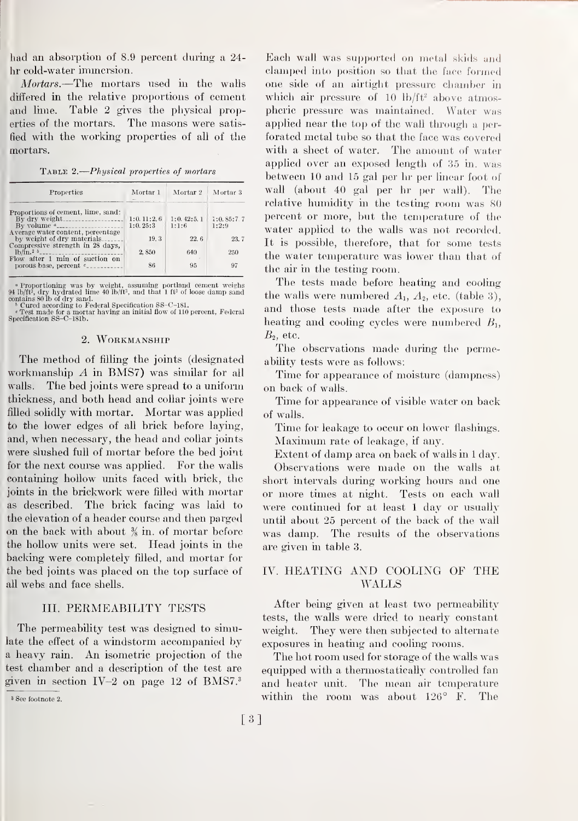had an absorption of 8.9 percent during a 24 lir cold-water immersion.

Mortars.—The mortars used in the walls differed in the relative proportions of cement and lime. Table 2 gives the physical properties of the mortars. The masons were satisfied with the working properties of all of the mortars.

Table 2. Physical properties of mortars

| Properties                                                                    | Mortar 1   | Mortar 2   | Mortar 3   |
|-------------------------------------------------------------------------------|------------|------------|------------|
| Proportions of cement, lime, sand:                                            |            |            |            |
|                                                                               | 1:0.11:2.6 | 1:0.42:5.1 | 1:0.85:7.7 |
| By volume $a_{\text{}}$<br>Average water content, percentage                  | 1:0.25:3   | 1:1:6      | 1:2:9      |
| by weight of dry materials                                                    | 19.3       | 22.6       | 23.7       |
| Compressive strength in 28 days.<br>$1b/$ in. <sup>2</sup> $b$ <sub>---</sub> | 2,850      | 640        | 250        |
| Flow after 1 min of suction on                                                |            |            |            |
| porous base, percent $e_{\text{---}}$                                         | 86         | 95         | 97         |

<sup>4</sup> Proportioning was by weight, assuming portland cement weighs ph/ft<sup>3</sup>, dry hydrated lime 40 lb/ft<sup>3</sup>, and that 1 ft<sup>3</sup> of loose damp sand contains 80 lb of dry sand.<br><sup>1</sup> Curced according to Federal Specification SS-C-

#### 2. Workmanship

The method of filling the joints (designated workmanship A in BMS7) was similar for all walls. The bed joints were spread to a uniform thickness, and both head and collar joints were filled solidly with mortar. Mortar was applied to the lower edges of all brick before laying, and, when necessary, the head and collar joints were slushed full of mortar before the bed joint for the next course was applied. For the walls containing hollow units faced with brick, the joints in the brickwork were filled with mortar as described. The brick facing was laid to the elevation of a header course and then parged on the back with about  $\frac{3}{8}$  in. of mortar before the hollow units were set. Head joints in the backing were completely filled, and mortar for the bed joints was placed on the top surface of all webs and face shells.

#### III. PERMEABILITY TESTS

The permeability test was designed to simulate the effect of a windstorm accompanied by <sup>a</sup> heavy rain. An isometric projection of the test chamber and a description of the test are given in section  $IV-2$  on page 12 of BMS7. $^3$ 

<sup>3</sup> See footnote 2.

Each wall was supported on metal skids and clamped into position so that the face formed one side of an airtight pressure chamber in which air pressure of 10  $\mathrm{h/ft^2}$  above atmospheric pressure was maintained. Water was applied near the top of the wall through a per forated metal tube so that the face was covered with a sheet of water. The amount of water applied over an exposed length of 35 in. was between 10 and 15 gal per hr per linear foot of wall (about 40 gal per hr per wall). The relative humidity in the testing room was 80 percent or more, but the temperature of the water applied to the walls was not recorded. It is possible, therefore, that for some tests the water temperature was lower than that of the air in the testing room.

The tests made before heating and cooling the walls were numbered  $A_1$ ,  $A_2$ , etc. (table 3), and those tests made after the exposure to heating and cooling cycles were numbered  $B_1$ ,  $B_2$ , etc.

The observations made during the permeability tests were as follows:

Time for appearance of moisture (dampness) on back of walls.

Time for appearance of visible water on back of walls.

Time for leakage to occur on lower flashings. Maximum rate of leakage, if any.

Extent of damp area on back of walls in <sup>1</sup> day. Observations were made on the walls at

short intervals during working hours and one or more times at night. Tests on each wall were continued for at least <sup>1</sup> day or usually until about 25 percent of the back of the wall was damp. The results of the observations are given in table 3.

#### IV. HEATING AND COOLING OF THE WALLS

After being given at least two permeability tests, the walls were dried to nearly constant weight. They were then subjected to alternate exposures in heating and cooling rooms.

The hot room used for storage of the walls was equipped with a thermostatically controlled fan and heater unit. The mean air temperature within the room was about 126° F. The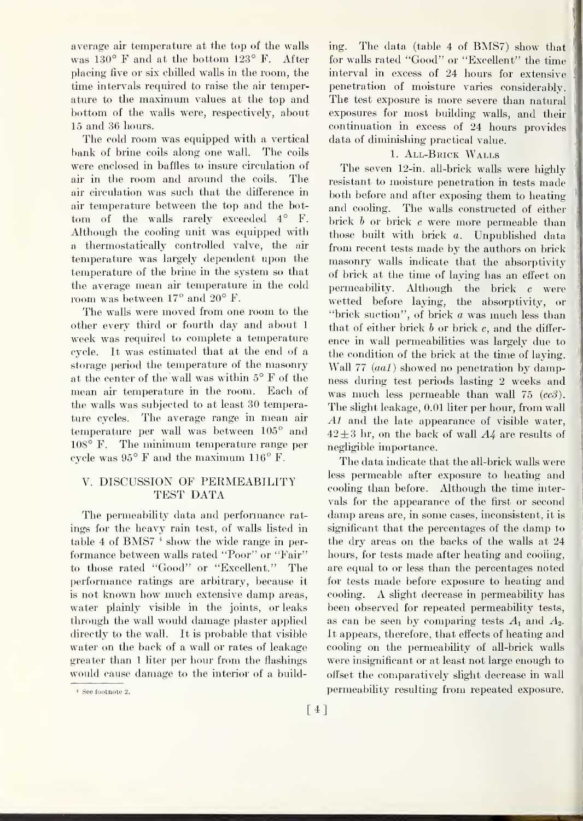average air temperature at the top of the walls was 130° F and at the bottom 123° F. After placing five or six chilled walls in the room, the time intervals required to raise the air temperature to the maximum values at the top and bottom of the walls were, respectively, about 15 and 36 hours.

The cold room was equipped with a vertical bank of brine coils along one wall. The coils were enclosed in baffles to insure circulation of air in the room and around the coils. The air circulation was such that the difference in air temperature between the top and the bottom of the walls rarely exceeded 4° F. Although the cooling unit was equipped with a thermostatically controlled valve, the air temperature was largely dependent upon the temperature of the brine in the system so that the average mean air temperature in the cold room was between 17° and 20° F.

The walls were moved from one room to the other every third or fourth day and about <sup>1</sup> week was required to complete a temperature cycle. It was estimated that at the end of a storage period the temperature of the masonry at the center of the wall was within 5° F of the mean air temperature in the room. Each of the walls was subjected to at least 30 temperature cycles. The average range in mean air temperature per wall was between 105° and 108° F. The minimum temperature range per cycle was 95° F and the maximum 116° F.

#### V. DISCUSSION OF PEKMEABILITY TEST DATA

The permeability data and performance rat ings for the heavy rain test, of walls listed in table <sup>4</sup> of BMS7 \* show the wide range in per formance between walls rated "Poor" or "Fair" to those rated "Good" or "Excellent." The performance ratings are arbitrary, because it is not known how much extensive damp areas, water plainly visible in the joints, or leaks through the wall would damage plaster applied directly to the wall. It is probable that visible water on the back of a wall or rates of leakage greater than <sup>1</sup> liter per hour from the flashings would cause damage to the interior of a building. The data (table <sup>4</sup> of BMS7) show that for walls rated "Good" or "Excellent" the time interval in excess of 24 hours for extensive penetration of moisture varies considerably. The test exposure is more severe than natural exposures for most building walls, and their continuation in excess of 24 hours provides data of diminishing practical value.

#### 1. All-Beick Walls

The seven 12-in. all-brick walls were highly resistant to moisture penetration in tests made both before and after exposing them to heating and cooling. The walls constructed of either brick <sup>b</sup> or brick <sup>c</sup> were more permeable than those built with brick a. Unpublished data from recent tests made by the authors on brick masonry walls indicate that the absorptivity of brick at the time of laying has an effect on permeability. Although the brick <sup>c</sup> were wetted before laying, the absorptivity, or "brick suction", of brick a was much less than that of either brick  $b$  or brick  $c$ , and the difference in wall permeabilities was largely due to the condition of the brick at the time of laying. Wall 77 (*aa1*) showed no penetration by dampness during test periods lasting 2 weeks and was much less permeable than wall 75  $(cc3)$ . The slight leakage, 0.01 liter per hour, from wall Al and the late appearance of visible water,  $42 \pm 3$  hr, on the back of wall  $A4$  are results of negligible importance.

The data indicate that the all-brick walls were less permeable after exposure to heating and cooling than before. Although the time intervals for the appearance of the first or second damp areas are, in some cases, inconsistent, it is significant that the percentages of the damp to the dry areas on the backs of the walls at 24 hours, for tests made after heating and cooling, are equal to or less than the percentages noted for tests made before exposure to heating and cooling. A slight decrease in permeability has been observed for repeated permeability tests, as can be seen by comparing tests  $A_1$  and  $A_2$ . It appears, therefore, that effects of heating and cooling on the permeability of all-brick walls were insignificant or at least not large enough to offset the comparatively slight decrease in wall permeability resulting from repeated exposure.

<sup>&#</sup>x27; See footnote 2.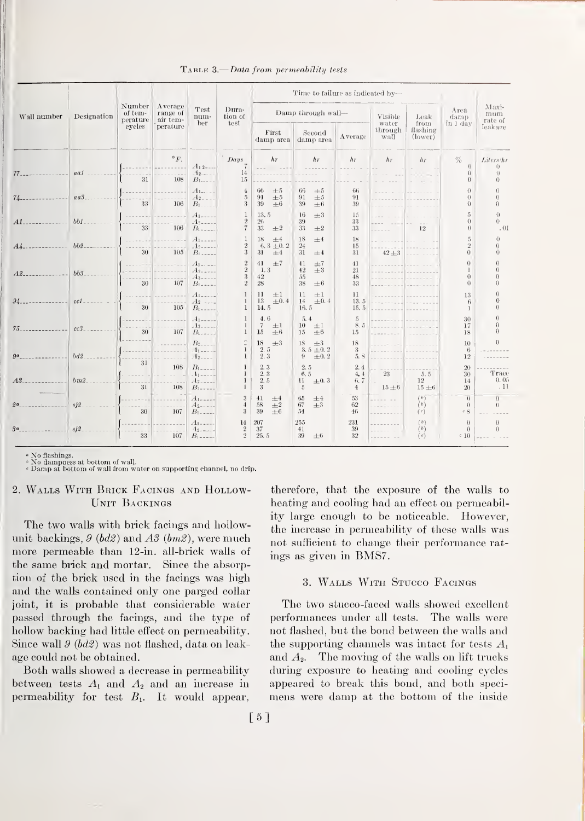|             | Designation   | Number<br>of tem-<br>perature | Average<br>range of<br>air tem- | Test<br>num-<br>ber                                          | Dura-<br>tion of<br>test                        | Time to failure as indicated by-                |                                                   |                                      |                                                      |                                      |                                          |                                    |
|-------------|---------------|-------------------------------|---------------------------------|--------------------------------------------------------------|-------------------------------------------------|-------------------------------------------------|---------------------------------------------------|--------------------------------------|------------------------------------------------------|--------------------------------------|------------------------------------------|------------------------------------|
| Wall number |               |                               |                                 |                                                              |                                                 | Damp through wall-                              |                                                   |                                      | Visible                                              | Leak                                 | Area<br>damp                             | Maxi-<br>mum<br>rate of            |
|             |               | eyeles                        | perature                        |                                                              |                                                 | First<br>damp area                              | Second<br>damp area                               | Average                              | water<br>through<br>wall                             | from<br>flashing<br>$\text{(lower)}$ | in 1 day                                 | leakage                            |
| $77-$       | aa1           | 31                            | $\circ_F$ .<br>108              | $A_{12}$ ----<br>$-12$<br>$B_{1------}$                      | $\sum_{s}$<br>14<br>15                          | hr                                              | hr<br>.                                           | $h\tau$                              | h <sub>r</sub>                                       | h <sub>r</sub>                       | $\%$<br>$\theta$<br>$\theta$<br>$\theta$ | Liters/hr<br>$\bigcap$<br>$\Omega$ |
| $74-$       | $a\bar{a}3$ . | 33                            | 106                             | $A_{1-\dots}$<br>$A_{2-}$<br>$B_1$                           | $\overline{4}$<br>$\sqrt{5}$<br>3               | 66<br>$\pm 5$<br>91<br>$\pm 5$<br>39<br>$\pm 6$ | $66\,$<br>$\pm 5$<br>91<br>$\pm 5$<br>39<br>±6    | 66<br>91<br>39                       |                                                      |                                      | $\theta$<br>$\Omega$<br>$\Omega$         | $\Omega$<br>$\Omega$               |
| A1          | $bb1$ .       | 33                            | 106                             | A <sub>1</sub><br>A <sub>2</sub><br>$B_{1+--}$               | 1<br>$\overline{2}$<br>$\overline{\phantom{a}}$ | 13.5<br>26<br>33<br>$\pm 2$                     | 16<br>$\pm 3$<br>39<br>33<br>$\pm 2$              | 15<br>33<br>33                       |                                                      | 12                                   | 5<br>$\Omega$<br>$\theta$                | $\Omega$<br>()<br>.01              |
| $A_{4-}$    | $bb2$ -       | 30                            | 105                             | A <sub>1</sub><br>$A$ <sup>2</sup><br>$B$ <sub>1</sub> ----- | $\begin{smallmatrix}2\2\3\end{smallmatrix}$     | 18<br>$+4$<br>6.3 $\pm$ 0.2<br>31<br>$\pm 4$    | 18<br>±4<br>24<br>31<br>$\pm 4$                   | 18<br>15<br>31                       | $42 \pm 3$                                           |                                      | 5<br>$\,2$<br>$\Omega$                   | $\Omega$<br>$\Omega$<br>$\Omega$   |
| $A2_{-}$    | $bb3$ .       | 30                            | 107                             | $A$ <sub>1-1-1</sub> -<br>$A_{2}$<br>$A_{3}$<br>$B_{1----}$  | $\,2$<br>$\overline{2}$<br>3<br>$\overline{2}$  | 41 $\pm 7$<br>1.3<br>42<br>28                   | 41<br>$\pm7$<br>42<br>$+3$<br>55<br>38<br>$\pm 6$ | 41<br>21<br>48<br>33                 | <b>Service State</b><br>-----                        |                                      | $\Omega$<br>1<br>$\Omega$<br>$\Omega$    | $\Omega$<br>$\Omega$<br>$\Omega$   |
| 94          | cc1_          | 30                            | 105                             | $A_{1}$<br>$A_2$ ----<br>$B_{1}$ ----                        | $\mathbf{1}$<br>$\mathbf{1}$<br>$\mathbf{1}$    | 11<br>$\pm 1$<br>$13 \pm 0.4$<br>14.5           | 11<br>$+1$<br>14<br>$\pm 0.4$<br>16.5             | 11<br>13.5<br>15.5                   | .<br>200 - Jan 191                                   |                                      | 13<br>6<br>-1                            | $\Omega$<br>$\theta$<br>$\Omega$   |
| $75 - - -$  | cc3           | 30                            | 107                             | $A_{1,}$<br>$A_2$<br>$B_1$                                   | $\mathbf{1}$<br>$\mathbf{1}$<br>$\mathbf{1}$    | 4,6<br>$\pm 1$<br>$\tau$<br>15<br>±6            | 5.4<br>$\pm 1$<br>10<br>15<br>$\pm 6$             | 5<br>8.5<br>15                       | <b>Contract Contract</b>                             |                                      | 30<br>17<br>18                           | $\Omega$<br>$\Omega$<br>$\Omega$   |
| ga          | bd2           | 31                            |                                 | $B_{2}$<br>11<br>$-12$ ----                                  | $\mathbf{1}$<br>$\mathbf{1}$                    | 18<br>$\pm$ 3<br>2.5<br>2.3                     | 18<br>$\pm$ 3<br>3.5 $\pm$ 0.2<br>$\pm 0.2$<br>9  | 18<br>3<br>5.8                       | <b>Contract Contract</b><br><b>Contract Contract</b> |                                      | 10<br>6<br>12                            | $\Omega$                           |
| A3          | bm2           | 31                            | 108<br>108                      | $B_{1-}$ .<br>.11<br>$A2---$<br>$B_{1}$ -----                | $\mathbf{1}$<br>-1                              | 2.3<br>2.3<br>2.5<br>$\mathcal{R}$              | 2.5<br>6.5<br>$_{11}$<br>$\pm 0.3$<br>5           | 2.4<br>4, 4<br>6.7<br>$\overline{4}$ | 23<br>$15 \pm 6$                                     | 5.5<br>12<br>$15 \pm 6$              | 20<br>30<br>14<br>20                     | Trace<br>0.05<br>.11               |
| 2a          | s2            | 30                            | 107                             | $A_{1-}$<br>$A_{2-}$<br>$B_1$ -----                          | 3<br>$\overline{4}$<br>3                        | 41<br>±4<br>58<br>$\pm 2$<br>39<br>$+6$         | $65\,$<br>$\pm 4$<br>67<br>$\pm$ 3<br>54          | 53<br>62<br>46                       |                                                      | (b)<br>(b)<br>(c)                    | $\theta$<br>$\Omega$<br>c.8              | $\overline{0}$<br>$\theta$         |
| 3a          | si2           | 33                            | 107                             | A <sub>1</sub><br>$1_{2}$ ----<br>$B_{1}$ -----              | 14<br>$\sqrt{2}$<br>$\overline{2}$              | 207<br>37<br>25.5                               | 255<br>41<br>39<br>$\pm 6$                        | $231\,$<br>39<br>32                  |                                                      | (b)<br>(b)<br>(c)                    | $\theta$<br>$\Omega$<br>c10              | $\overline{0}$<br>$\theta$         |

TABLE 3.-Data from permeability tests

No flashings.

<sup>b</sup> No dampness at bottom of wall.<br>  $\epsilon$  Damp at bottom of wall from water on supporting channel, no drip.

#### 2. WALLS WITH BRICK FACINGS AND HOLLOW-UNIT BACKINGS

The two walls with brick facings and hollowunit backings,  $9$  (bd2) and  $A3$  (bm2), were much more permeable than 12-in. all-brick walls of the same brick and mortar. Since the absorption of the brick used in the facings was high and the walls contained only one parged collar joint, it is probable that considerable water passed through the facings, and the type of hollow backing had little effect on permeability. Since wall  $9 (bd2)$  was not flashed, data on leakage could not be obtained.

Both walls showed a decrease in permeability between tests  $A_1$  and  $A_2$  and an increase in permeability for test  $B_1$ . It would appear, therefore, that the exposure of the walls to heating and cooling had an effect on permeability large enough to be noticeable. However, the increase in permeability of these walls was not sufficient to change their performance ratings as given in BMS7.

#### 3. WALLS WITH STUCCO FACINGS

The two stucco-faced walls showed excellent performances under all tests. The walls were not flashed, but the bond between the walls and the supporting channels was intact for tests  $A_1$ and  $A_2$ . The moving of the walls on lift trucks during exposure to heating and cooling cycles appeared to break this bond, and both specimens were damp at the bottom of the inside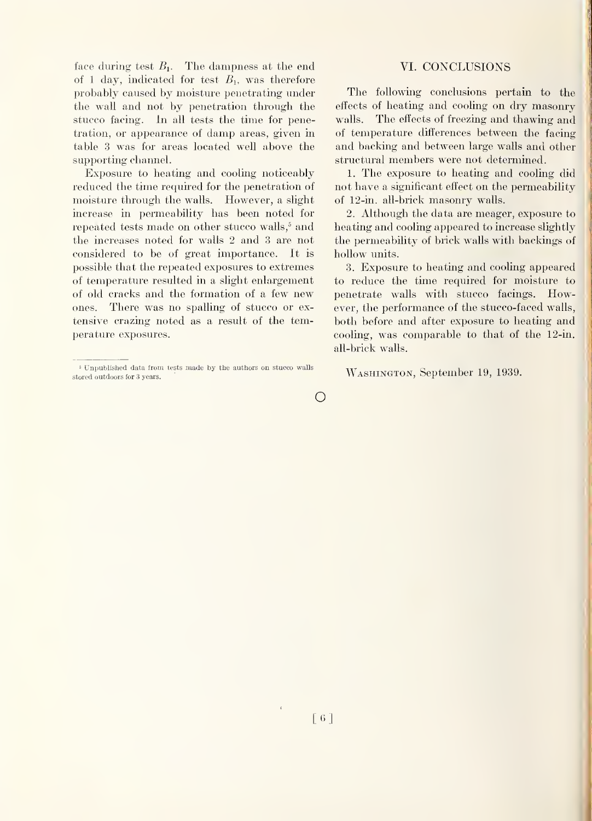face during test  $B_1$ . The dampness at the end of 1 day, indicated for test  $B_1$ , was therefore probably caused by moisture penetrating under the wall and not by penetration through the stucco facing. In all tests the time for penetration, or appearance of damp areas, given in table 3 was for areas located well above the supporting channel.

Exposure to heating and cooling noticeably reduced the time required for the penetration of moisture through the walls. However, a slight increase in permeability has been noted for repeated tests made on other stucco walls,^ and the increases noted for walls 2 and 3 are not considered to be of great importance. It is possible that the repeated exposures to extremes of temperature resulted in a slight enlargement of old cracks and the formation of a few new ones. There was no spalling of stucco or ex tensive crazing noted as a result of the temperature exposures.

#### VI. CONCLUSIONS

The following conclusions pertain to the effects of heating and cooling on dry masonry walls. The effects of freezing and thawing and of temperature differences between the facing and backing and between large walls and other structural members were not determined.

1. The exposure to heating and cooling did not have a significant effect on the permeability of 12-in. all-brick masonry walls.

2. Although the data are meager, exposure to heating and cooling appeared to increase slightly the permeability of biick walls with backings of hollow units.

3. Exposure to heating and cooling appeared to reduce the time required for moisture to penetrate walls with stucco facings. However, the performance of the stucco-faced walls, both before and after exposure to heating and cooling, was comparable to that of the 12-in. all-brick walls.

Washington, September 19, 1939.

 $\bigcirc$ 

<sup>»</sup> Unpublished data froni tests made by the authors on stucco walls stored outdoors for 3 years.